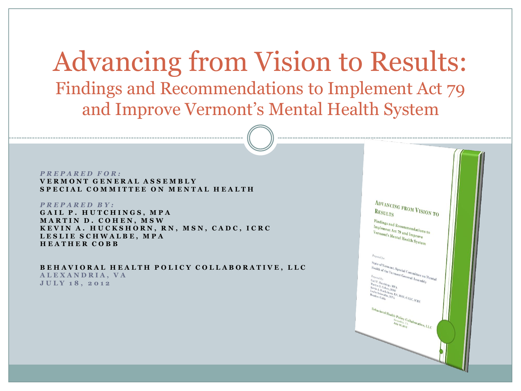Advancing from Vision to Results: Findings and Recommendations to Implement Act 79 and Improve Vermont's Mental Health System

*P R E P A R E D F O R :* **V E R M O N T G E N E R A L A S S E M B L Y SPECIAL COMMITTEE ON MENTAL HEALTH** 

*P R E P A R E D BY:* GAIL P. HUTCHINGS, MPA **MARTIN D. COHEN, MSW** K E V I N A . H U C K S H O R N , R N , M S N , C A D C , I C R C **L E S L I E S C H W A L B E , M P A H E A T H E R C O B B**

**B E H A V I O R A L H E A L T H P O L I C Y C O L L A B O R A T I V E , L L C A L E X A N D R I A , V A J U L Y 1 8 , 2 0 1 2**

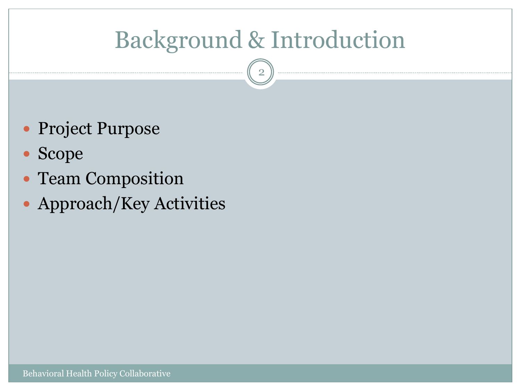# Background & Introduction

- Project Purpose
- Scope
- Team Composition
- Approach/Key Activities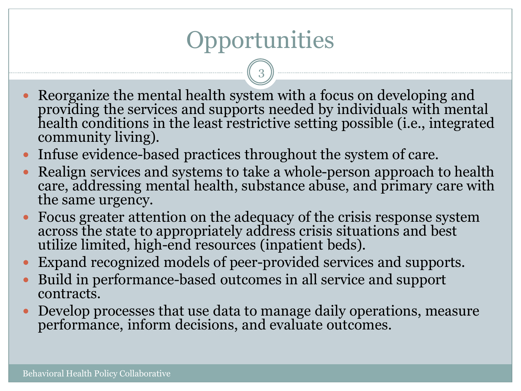# Opportunities

- Reorganize the mental health system with a focus on developing and providing the services and supports needed by individuals with mental health conditions in the least restrictive setting possible (i.e., integrated community living).
- Infuse evidence-based practices throughout the system of care.
- Realign services and systems to take a whole-person approach to health care, addressing mental health, substance abuse, and primary care with the same urgency.
- Focus greater attention on the adequacy of the crisis response system across the state to appropriately address crisis situations and best utilize limited, high-end resources (inpatient beds).
- Expand recognized models of peer-provided services and supports.
- Build in performance-based outcomes in all service and support contracts.
- Develop processes that use data to manage daily operations, measure performance, inform decisions, and evaluate outcomes.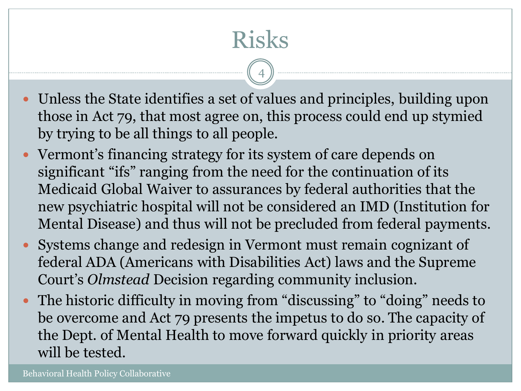Risks

- Unless the State identifies a set of values and principles, building upon those in Act 79, that most agree on, this process could end up stymied by trying to be all things to all people.
- Vermont's financing strategy for its system of care depends on significant "ifs" ranging from the need for the continuation of its Medicaid Global Waiver to assurances by federal authorities that the new psychiatric hospital will not be considered an IMD (Institution for Mental Disease) and thus will not be precluded from federal payments.
- Systems change and redesign in Vermont must remain cognizant of federal ADA (Americans with Disabilities Act) laws and the Supreme Court's *Olmstead* Decision regarding community inclusion.
- The historic difficulty in moving from "discussing" to "doing" needs to be overcome and Act 79 presents the impetus to do so. The capacity of the Dept. of Mental Health to move forward quickly in priority areas will be tested.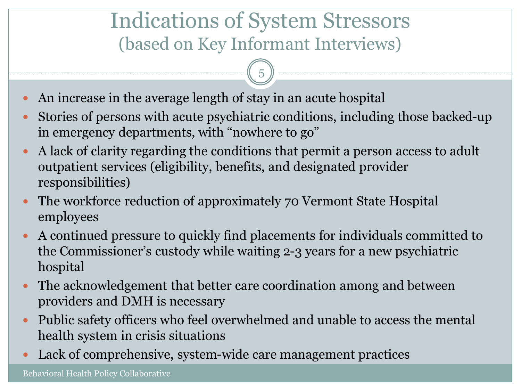### Indications of System Stressors (based on Key Informant Interviews)

- An increase in the average length of stay in an acute hospital
- Stories of persons with acute psychiatric conditions, including those backed-up in emergency departments, with "nowhere to go"
- A lack of clarity regarding the conditions that permit a person access to adult outpatient services (eligibility, benefits, and designated provider responsibilities)
- The workforce reduction of approximately 70 Vermont State Hospital employees
- A continued pressure to quickly find placements for individuals committed to the Commissioner's custody while waiting 2-3 years for a new psychiatric hospital
- The acknowledgement that better care coordination among and between providers and DMH is necessary
- Public safety officers who feel overwhelmed and unable to access the mental health system in crisis situations
- Lack of comprehensive, system-wide care management practices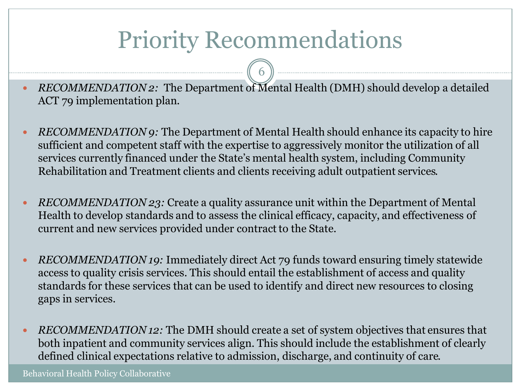# Priority Recommendations

6

 *RECOMMENDATION 2:* The Department of Mental Health (DMH) should develop a detailed ACT 79 implementation plan.

- *RECOMMENDATION 9:* The Department of Mental Health should enhance its capacity to hire sufficient and competent staff with the expertise to aggressively monitor the utilization of all services currently financed under the State's mental health system, including Community Rehabilitation and Treatment clients and clients receiving adult outpatient services.
- *RECOMMENDATION 23:* Create a quality assurance unit within the Department of Mental Health to develop standards and to assess the clinical efficacy, capacity, and effectiveness of current and new services provided under contract to the State.
- *RECOMMENDATION 19:* Immediately direct Act 79 funds toward ensuring timely statewide access to quality crisis services. This should entail the establishment of access and quality standards for these services that can be used to identify and direct new resources to closing gaps in services.
- *RECOMMENDATION 12:* The DMH should create a set of system objectives that ensures that both inpatient and community services align. This should include the establishment of clearly defined clinical expectations relative to admission, discharge, and continuity of care.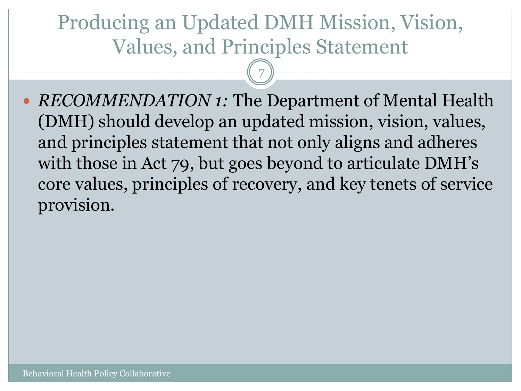## Producing an Updated DMH Mission, Vision, Values, and Principles Statement

7

• *RECOMMENDATION 1:* The Department of Mental Health (DMH) should develop an updated mission, vision, values, and principles statement that not only aligns and adheres with those in Act 79, but goes beyond to articulate DMH's core values, principles of recovery, and key tenets of service provision.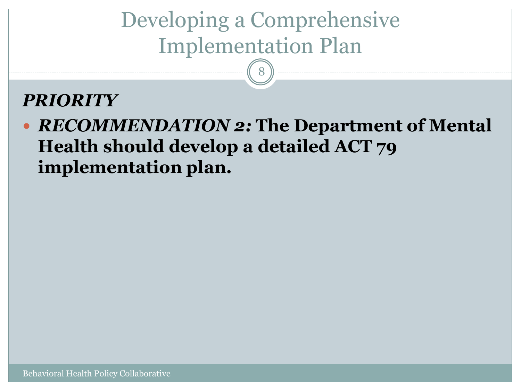# Developing a Comprehensive Implementation Plan

8

#### *PRIORITY*

 *RECOMMENDATION 2:* **The Department of Mental Health should develop a detailed ACT 79 implementation plan.**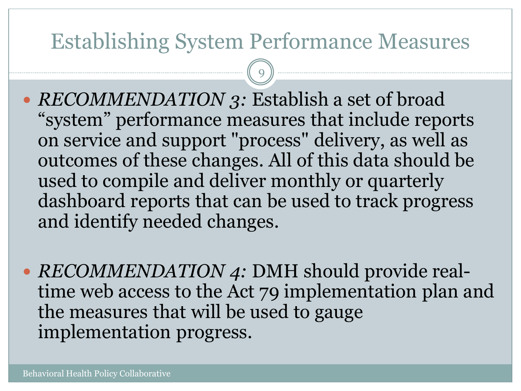### Establishing System Performance Measures

- *RECOMMENDATION 3:* Establish a set of broad "system" performance measures that include reports on service and support "process" delivery, as well as outcomes of these changes. All of this data should be used to compile and deliver monthly or quarterly dashboard reports that can be used to track progress and identify needed changes.
- *RECOMMENDATION 4:* DMH should provide realtime web access to the Act 79 implementation plan and the measures that will be used to gauge implementation progress.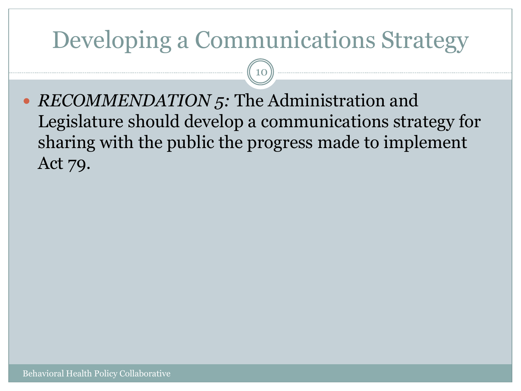## Developing a Communications Strategy

10

• *RECOMMENDATION* 5: The Administration and Legislature should develop a communications strategy for sharing with the public the progress made to implement Act 79.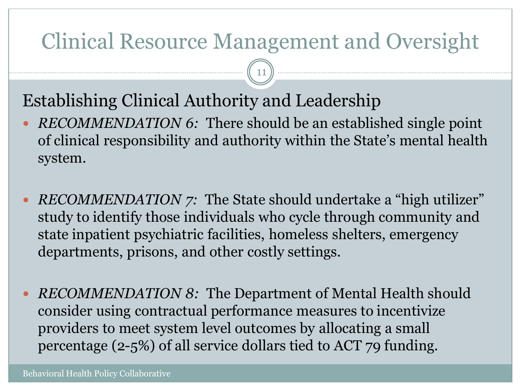## Clinical Resource Management and Oversight

11

#### Establishing Clinical Authority and Leadership

- *RECOMMENDATION 6:* There should be an established single point of clinical responsibility and authority within the State's mental health system.
- *RECOMMENDATION 7:* The State should undertake a "high utilizer" study to identify those individuals who cycle through community and state inpatient psychiatric facilities, homeless shelters, emergency departments, prisons, and other costly settings.
- *RECOMMENDATION 8:* The Department of Mental Health should consider using contractual performance measures to incentivize providers to meet system level outcomes by allocating a small percentage (2-5%) of all service dollars tied to ACT 79 funding.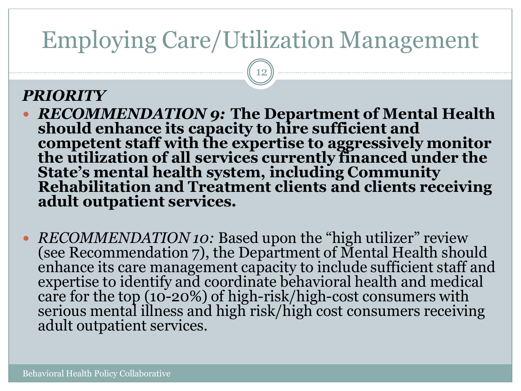# Employing Care/Utilization Management

12

#### *PRIORITY*

- *RECOMMENDATION 9:* **The Department of Mental Health should enhance its capacity to hire sufficient and competent staff with the expertise to aggressively monitor the utilization of all services currently financed under the State's mental health system, including Community Rehabilitation and Treatment clients and clients receiving adult outpatient services.**
- *RECOMMENDATION 10:* Based upon the "high utilizer" review (see Recommendation 7), the Department of Mental Health should enhance its care management capacity to include sufficient staff and expertise to identify and coordinate behavioral health and medical care for the top (10-20%) of high-risk/high-cost consumers with serious mental illness and high risk/high cost consumers receiving adult outpatient services.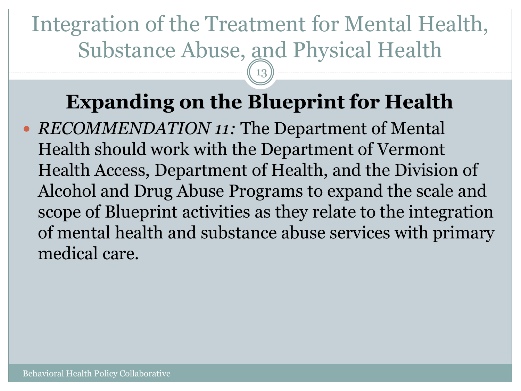# Integration of the Treatment for Mental Health, Substance Abuse, and Physical Health

13

## **Expanding on the Blueprint for Health**

 *RECOMMENDATION 11:* The Department of Mental Health should work with the Department of Vermont Health Access, Department of Health, and the Division of Alcohol and Drug Abuse Programs to expand the scale and scope of Blueprint activities as they relate to the integration of mental health and substance abuse services with primary medical care.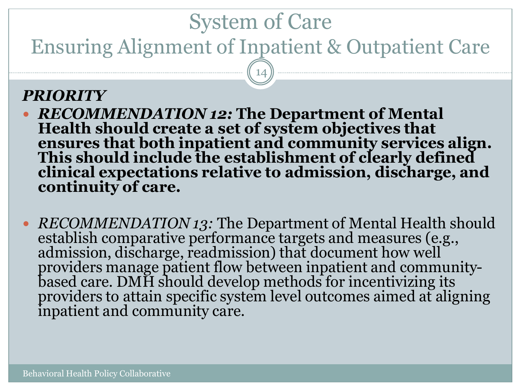## System of Care

Ensuring Alignment of Inpatient & Outpatient Care

14

#### *PRIORITY*

- *RECOMMENDATION 12:* **The Department of Mental Health should create a set of system objectives that ensures that both inpatient and community services align. This should include the establishment of clearly defined clinical expectations relative to admission, discharge, and continuity of care.**
- *RECOMMENDATION 13:* The Department of Mental Health should establish comparative performance targets and measures (e.g., admission, discharge, readmission) that document how well providers manage patient flow between inpatient and communitybased care. DMH should develop methods for incentivizing its providers to attain specific system level outcomes aimed at aligning inpatient and community care.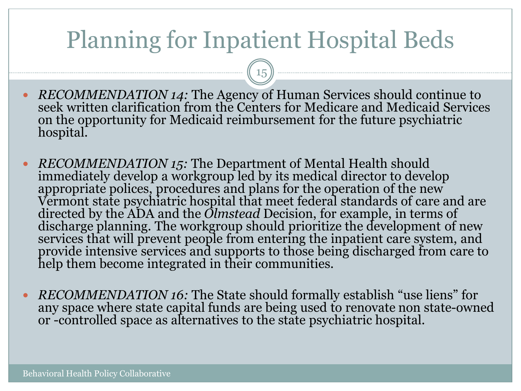# Planning for Inpatient Hospital Beds

- *RECOMMENDATION 14:* The Agency of Human Services should continue to seek written clarification from the Centers for Medicare and Medicaid Services on the opportunity for Medicaid reimbursement for the future psychiatric hospital.
- *RECOMMENDATION 15:* The Department of Mental Health should immediately develop a workgroup led by its medical director to develop appropriate polices, procedures and plans for the operation of the new Vermont state psychiatric hospital that meet federal standards of care and are directed by the ADA and the *Olmstead* Decision, for example, in terms of discharge planning. The workgroup should prioritize the development of new services that will prevent people from entering the inpatient care system, and provide intensive services and supports to those being discharged from care to help them become integrated in their communities.
- *RECOMMENDATION 16:* The State should formally establish "use liens" for any space where state capital funds are being used to renovate non state-owned or -controlled space as alternatives to the state psychiatric hospital.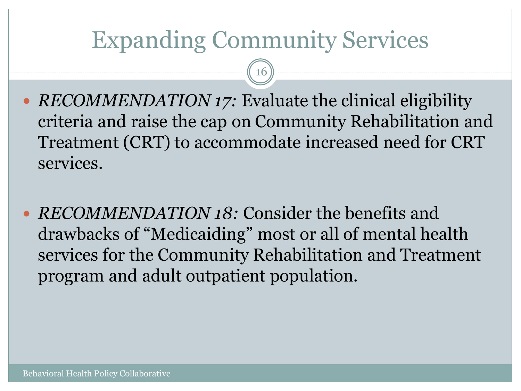# Expanding Community Services

- *RECOMMENDATION 17:* Evaluate the clinical eligibility criteria and raise the cap on Community Rehabilitation and Treatment (CRT) to accommodate increased need for CRT services.
- *RECOMMENDATION 18:* Consider the benefits and drawbacks of "Medicaiding" most or all of mental health services for the Community Rehabilitation and Treatment program and adult outpatient population.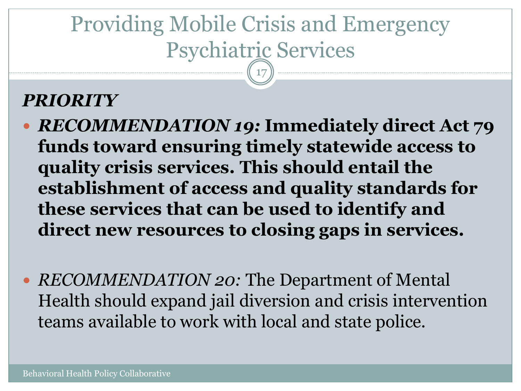#### Providing Mobile Crisis and Emergency Psychiatric Services 17

#### *PRIORITY*

- *RECOMMENDATION 19:* **Immediately direct Act 79 funds toward ensuring timely statewide access to quality crisis services. This should entail the establishment of access and quality standards for these services that can be used to identify and direct new resources to closing gaps in services.**
- *RECOMMENDATION 20:* The Department of Mental Health should expand jail diversion and crisis intervention teams available to work with local and state police.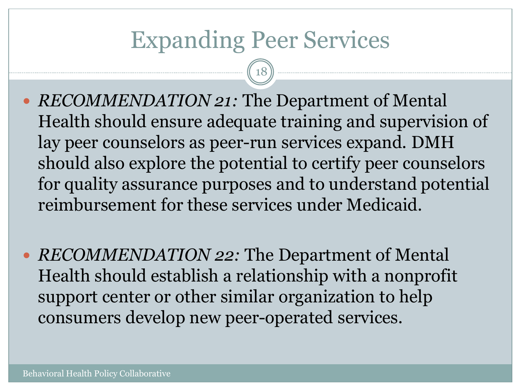## Expanding Peer Services

- *RECOMMENDATION 21:* The Department of Mental Health should ensure adequate training and supervision of lay peer counselors as peer-run services expand. DMH should also explore the potential to certify peer counselors for quality assurance purposes and to understand potential reimbursement for these services under Medicaid.
- *RECOMMENDATION 22:* The Department of Mental Health should establish a relationship with a nonprofit support center or other similar organization to help consumers develop new peer-operated services.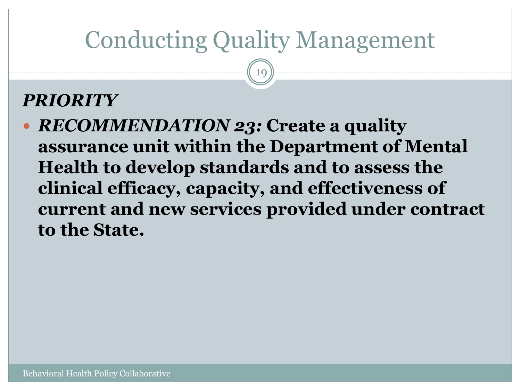# Conducting Quality Management

19

#### *PRIORITY*

 *RECOMMENDATION 23:* **Create a quality assurance unit within the Department of Mental Health to develop standards and to assess the clinical efficacy, capacity, and effectiveness of current and new services provided under contract to the State.**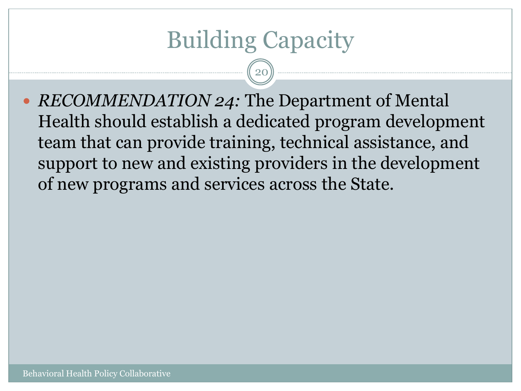# Building Capacity

20

• *RECOMMENDATION 24:* The Department of Mental Health should establish a dedicated program development team that can provide training, technical assistance, and support to new and existing providers in the development of new programs and services across the State.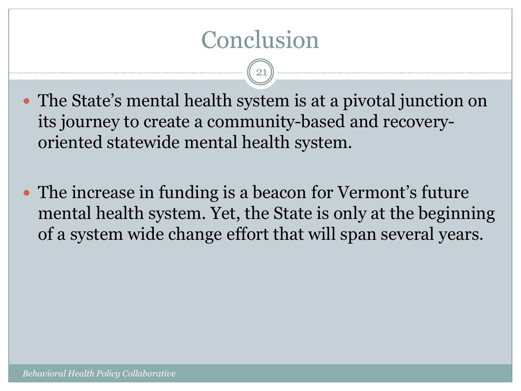# Conclusion

- The State's mental health system is at a pivotal junction on its journey to create a community-based and recoveryoriented statewide mental health system.
- The increase in funding is a beacon for Vermont's future mental health system. Yet, the State is only at the beginning of a system wide change effort that will span several years.